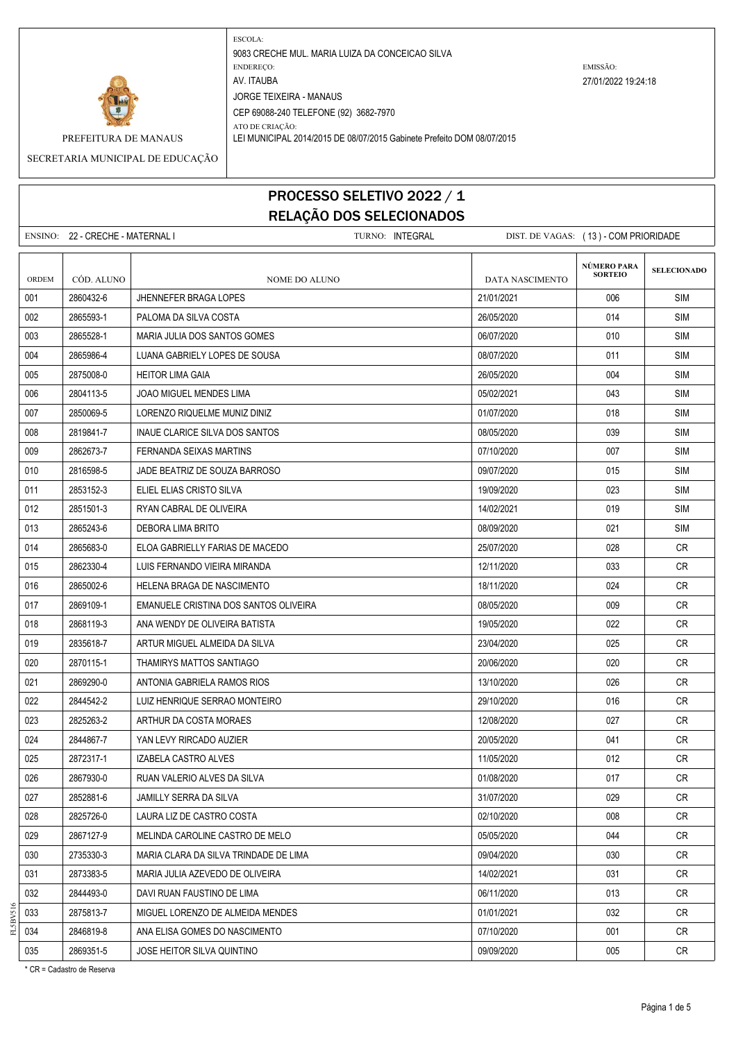

ATO DE CRIAÇÃO: PREFEITURA DE MANAUS LEI MUNICIPAL 2014/2015 DE 08/07/2015 Gabinete Prefeito DOM 08/07/2015

SECRETARIA MUNICIPAL DE EDUCAÇÃO

## PROCESSO SELETIVO 2022 / 1 RELAÇÃO DOS SELECIONADOS

|       | ENSINO: 22 - CRECHE - MATERNAL I |                                       | TURNO: INTEGRAL | DIST. DE VAGAS: (13) - COM PRIORIDADE |                                      |                    |
|-------|----------------------------------|---------------------------------------|-----------------|---------------------------------------|--------------------------------------|--------------------|
| ORDEM | CÓD. ALUNO                       | <b>NOME DO ALUNO</b>                  |                 | DATA NASCIMENTO                       | <b>NÚMERO PARA</b><br><b>SORTEIO</b> | <b>SELECIONADO</b> |
| 001   | 2860432-6                        | JHENNEFER BRAGA LOPES                 |                 | 21/01/2021                            | 006                                  | <b>SIM</b>         |
| 002   | 2865593-1                        | PALOMA DA SILVA COSTA                 |                 | 26/05/2020                            | 014                                  | <b>SIM</b>         |
| 003   | 2865528-1                        | MARIA JULIA DOS SANTOS GOMES          |                 | 06/07/2020                            | 010                                  | <b>SIM</b>         |
| 004   | 2865986-4                        | LUANA GABRIELY LOPES DE SOUSA         |                 | 08/07/2020                            | 011                                  | SIM                |
| 005   | 2875008-0                        | <b>HEITOR LIMA GAIA</b>               |                 | 26/05/2020                            | 004                                  | SIM                |
| 006   | 2804113-5                        | JOAO MIGUEL MENDES LIMA               |                 | 05/02/2021                            | 043                                  | SIM                |
| 007   | 2850069-5                        | LORENZO RIQUELME MUNIZ DINIZ          |                 | 01/07/2020                            | 018                                  | <b>SIM</b>         |
| 008   | 2819841-7                        | INAUE CLARICE SILVA DOS SANTOS        |                 | 08/05/2020                            | 039                                  | <b>SIM</b>         |
| 009   | 2862673-7                        | FERNANDA SEIXAS MARTINS               |                 | 07/10/2020                            | 007                                  | SIM                |
| 010   | 2816598-5                        | JADE BEATRIZ DE SOUZA BARROSO         |                 | 09/07/2020                            | 015                                  | <b>SIM</b>         |
| 011   | 2853152-3                        | ELIEL ELIAS CRISTO SILVA              |                 | 19/09/2020                            | 023                                  | SIM                |
| 012   | 2851501-3                        | RYAN CABRAL DE OLIVEIRA               |                 | 14/02/2021                            | 019                                  | SIM                |
| 013   | 2865243-6                        | DEBORA LIMA BRITO                     |                 | 08/09/2020                            | 021                                  | <b>SIM</b>         |
| 014   | 2865683-0                        | ELOA GABRIELLY FARIAS DE MACEDO       |                 | 25/07/2020                            | 028                                  | <b>CR</b>          |
| 015   | 2862330-4                        | LUIS FERNANDO VIEIRA MIRANDA          |                 | 12/11/2020                            | 033                                  | CR.                |
| 016   | 2865002-6                        | HELENA BRAGA DE NASCIMENTO            |                 | 18/11/2020                            | 024                                  | <b>CR</b>          |
| 017   | 2869109-1                        | EMANUELE CRISTINA DOS SANTOS OLIVEIRA |                 | 08/05/2020                            | 009                                  | CR                 |
| 018   | 2868119-3                        | ANA WENDY DE OLIVEIRA BATISTA         |                 | 19/05/2020                            | 022                                  | CR                 |
| 019   | 2835618-7                        | ARTUR MIGUEL ALMEIDA DA SILVA         |                 | 23/04/2020                            | 025                                  | <b>CR</b>          |
| 020   | 2870115-1                        | THAMIRYS MATTOS SANTIAGO              |                 | 20/06/2020                            | 020                                  | CR                 |
| 021   | 2869290-0                        | ANTONIA GABRIELA RAMOS RIOS           |                 | 13/10/2020                            | 026                                  | CR.                |
| 022   | 2844542-2                        | LUIZ HENRIQUE SERRAO MONTEIRO         |                 | 29/10/2020                            | 016                                  | CR                 |
| 023   | 2825263-2                        | ARTHUR DA COSTA MORAES                |                 | 12/08/2020                            | 027                                  | CR                 |
| 024   | 2844867-7                        | YAN LEVY RIRCADO AUZIER               |                 | 20/05/2020                            | 041                                  | CR                 |
| 025   | 2872317-1                        | IZABELA CASTRO ALVES                  |                 | 11/05/2020                            | 012                                  | CR                 |
| 026   | 2867930-0                        | RUAN VALERIO ALVES DA SILVA           |                 | 01/08/2020                            | 017                                  | CR                 |
| 027   | 2852881-6                        | <b>JAMILLY SERRA DA SILVA</b>         |                 | 31/07/2020                            | 029                                  | CR                 |
| 028   | 2825726-0                        | LAURA LIZ DE CASTRO COSTA             |                 | 02/10/2020                            | 008                                  | CR                 |
| 029   | 2867127-9                        | MELINDA CAROLINE CASTRO DE MELO       |                 | 05/05/2020                            | 044                                  | CR                 |
| 030   | 2735330-3                        | MARIA CLARA DA SILVA TRINDADE DE LIMA |                 | 09/04/2020                            | 030                                  | CR                 |
| 031   | 2873383-5                        | MARIA JULIA AZEVEDO DE OLIVEIRA       |                 | 14/02/2021                            | 031                                  | CR                 |
| 032   | 2844493-0                        | DAVI RUAN FAUSTINO DE LIMA            |                 | 06/11/2020                            | 013                                  | CR                 |
| 033   | 2875813-7                        | MIGUEL LORENZO DE ALMEIDA MENDES      |                 | 01/01/2021                            | 032                                  | <b>CR</b>          |
| 034   | 2846819-8                        | ANA ELISA GOMES DO NASCIMENTO         |                 | 07/10/2020                            | 001                                  | CR                 |
| 035   | 2869351-5                        | JOSE HEITOR SILVA QUINTINO            |                 | 09/09/2020                            | 005                                  | CR                 |

\* CR = Cadastro de Reserva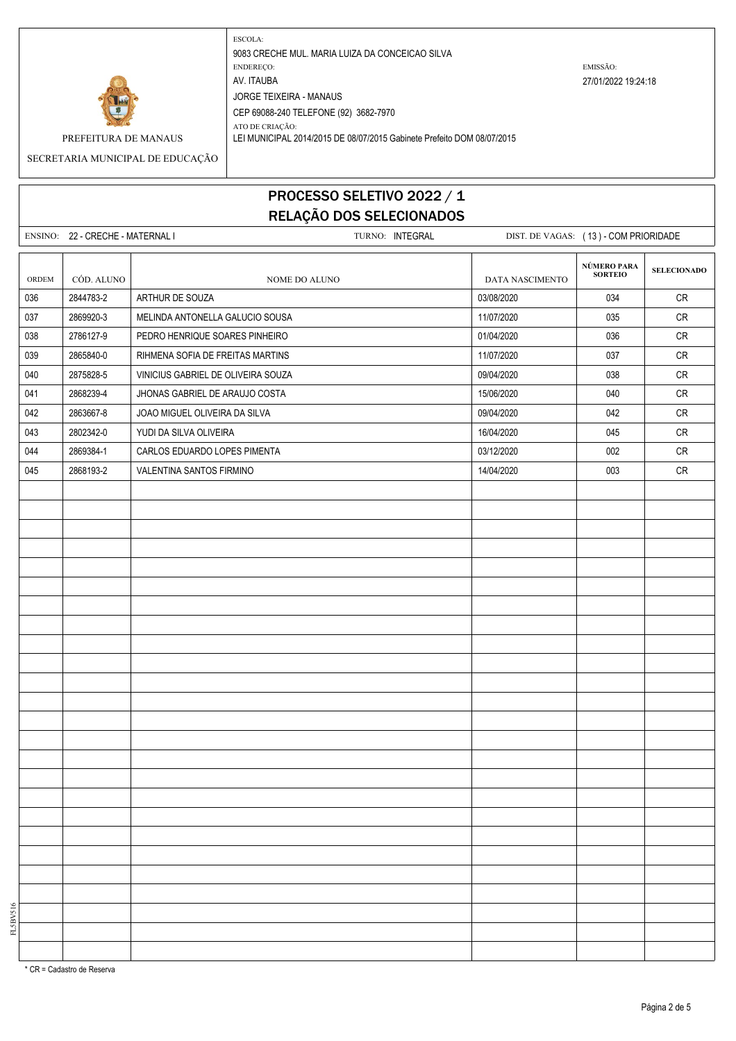

ATO DE CRIAÇÃO:

PREFEITURA DE MANAUS LEI MUNICIPAL 2014/2015 DE 08/07/2015 Gabinete Prefeito DOM 08/07/2015

SECRETARIA MUNICIPAL DE EDUCAÇÃO

## PROCESSO SELETIVO 2022 / 1 RELAÇÃO DOS SELECIONADOS

|       | ENSINO: 22 - CRECHE - MATERNAL I | TURNO: INTEGRAL                    |                 | DIST. DE VAGAS: (13) - COM PRIORIDADE |                    |  |
|-------|----------------------------------|------------------------------------|-----------------|---------------------------------------|--------------------|--|
|       |                                  |                                    |                 |                                       |                    |  |
| ORDEM | CÓD. ALUNO                       | NOME DO ALUNO                      | DATA NASCIMENTO | NÚMERO PARA<br>SORTEIO                | <b>SELECIONADO</b> |  |
| 036   | 2844783-2                        | ARTHUR DE SOUZA                    | 03/08/2020      | 034                                   | CR                 |  |
| 037   | 2869920-3                        | MELINDA ANTONELLA GALUCIO SOUSA    | 11/07/2020      | 035                                   | ${\sf CR}$         |  |
| 038   | 2786127-9                        | PEDRO HENRIQUE SOARES PINHEIRO     | 01/04/2020      | 036                                   | CR                 |  |
| 039   | 2865840-0                        | RIHMENA SOFIA DE FREITAS MARTINS   | 11/07/2020      | 037                                   | CR                 |  |
| 040   | 2875828-5                        | VINICIUS GABRIEL DE OLIVEIRA SOUZA | 09/04/2020      | 038                                   | ${\sf CR}$         |  |
| 041   | 2868239-4                        | JHONAS GABRIEL DE ARAUJO COSTA     | 15/06/2020      | 040                                   | CR                 |  |
| 042   | 2863667-8                        | JOAO MIGUEL OLIVEIRA DA SILVA      | 09/04/2020      | 042                                   | CR                 |  |
| 043   | 2802342-0                        | YUDI DA SILVA OLIVEIRA             | 16/04/2020      | 045                                   | ${\sf CR}$         |  |
| 044   | 2869384-1                        | CARLOS EDUARDO LOPES PIMENTA       | 03/12/2020      | 002                                   | CR                 |  |
| 045   | 2868193-2                        | VALENTINA SANTOS FIRMINO           | 14/04/2020      | 003                                   | ${\sf CR}$         |  |
|       |                                  |                                    |                 |                                       |                    |  |
|       |                                  |                                    |                 |                                       |                    |  |
|       |                                  |                                    |                 |                                       |                    |  |
|       |                                  |                                    |                 |                                       |                    |  |
|       |                                  |                                    |                 |                                       |                    |  |
|       |                                  |                                    |                 |                                       |                    |  |
|       |                                  |                                    |                 |                                       |                    |  |
|       |                                  |                                    |                 |                                       |                    |  |
|       |                                  |                                    |                 |                                       |                    |  |
|       |                                  |                                    |                 |                                       |                    |  |
|       |                                  |                                    |                 |                                       |                    |  |
|       |                                  |                                    |                 |                                       |                    |  |
|       |                                  |                                    |                 |                                       |                    |  |
|       |                                  |                                    |                 |                                       |                    |  |
|       |                                  |                                    |                 |                                       |                    |  |
|       |                                  |                                    |                 |                                       |                    |  |
|       |                                  |                                    |                 |                                       |                    |  |
|       |                                  |                                    |                 |                                       |                    |  |
|       |                                  |                                    |                 |                                       |                    |  |
|       |                                  |                                    |                 |                                       |                    |  |
|       |                                  |                                    |                 |                                       |                    |  |
|       |                                  |                                    |                 |                                       |                    |  |
|       |                                  |                                    |                 |                                       |                    |  |
|       |                                  |                                    |                 |                                       |                    |  |
|       |                                  |                                    |                 |                                       |                    |  |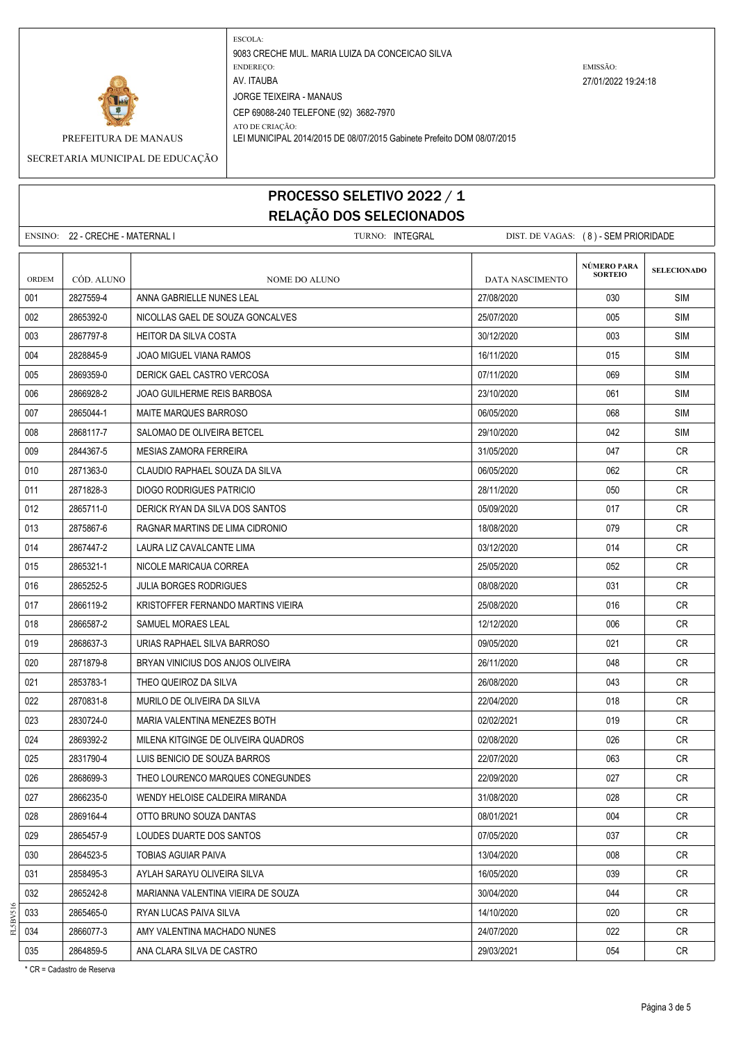

ATO DE CRIAÇÃO: PREFEITURA DE MANAUS LEI MUNICIPAL 2014/2015 DE 08/07/2015 Gabinete Prefeito DOM 08/07/2015

SECRETARIA MUNICIPAL DE EDUCAÇÃO

# PROCESSO SELETIVO 2022 / 1 RELAÇÃO DOS SELECIONADOS

|       | ENSINO: 22 - CRECHE - MATERNAL I |                                     | TURNO: INTEGRAL | DIST. DE VAGAS: (8) - SEM PRIORIDADE |                               |                    |
|-------|----------------------------------|-------------------------------------|-----------------|--------------------------------------|-------------------------------|--------------------|
| ORDEM | CÓD. ALUNO                       | <b>NOME DO ALUNO</b>                |                 | <b>DATA NASCIMENTO</b>               | NÚMERO PARA<br><b>SORTEIO</b> | <b>SELECIONADO</b> |
| 001   | 2827559-4                        | ANNA GABRIELLE NUNES LEAL           |                 | 27/08/2020                           | 030                           | <b>SIM</b>         |
| 002   | 2865392-0                        | NICOLLAS GAEL DE SOUZA GONCALVES    |                 | 25/07/2020                           | 005                           | <b>SIM</b>         |
| 003   | 2867797-8                        | <b>HEITOR DA SILVA COSTA</b>        |                 | 30/12/2020                           | 003                           | <b>SIM</b>         |
| 004   | 2828845-9                        | JOAO MIGUEL VIANA RAMOS             |                 | 16/11/2020                           | 015                           | SIM                |
| 005   | 2869359-0                        | DERICK GAEL CASTRO VERCOSA          |                 | 07/11/2020                           | 069                           | SIM                |
| 006   | 2866928-2                        | JOAO GUILHERME REIS BARBOSA         |                 | 23/10/2020                           | 061                           | <b>SIM</b>         |
| 007   | 2865044-1                        | MAITE MARQUES BARROSO               |                 | 06/05/2020                           | 068                           | SIM                |
| 008   | 2868117-7                        | SALOMAO DE OLIVEIRA BETCEL          |                 | 29/10/2020                           | 042                           | SIM                |
| 009   | 2844367-5                        | <b>MESIAS ZAMORA FERREIRA</b>       |                 | 31/05/2020                           | 047                           | <b>CR</b>          |
| 010   | 2871363-0                        | CLAUDIO RAPHAEL SOUZA DA SILVA      |                 | 06/05/2020                           | 062                           | CR.                |
| 011   | 2871828-3                        | DIOGO RODRIGUES PATRICIO            |                 | 28/11/2020                           | 050                           | CR.                |
| 012   | 2865711-0                        | DERICK RYAN DA SILVA DOS SANTOS     |                 | 05/09/2020                           | 017                           | CR                 |
| 013   | 2875867-6                        | RAGNAR MARTINS DE LIMA CIDRONIO     |                 | 18/08/2020                           | 079                           | CR.                |
| 014   | 2867447-2                        | LAURA LIZ CAVALCANTE LIMA           |                 | 03/12/2020                           | 014                           | CR.                |
| 015   | 2865321-1                        | NICOLE MARICAUA CORREA              |                 | 25/05/2020                           | 052                           | CR                 |
| 016   | 2865252-5                        | <b>JULIA BORGES RODRIGUES</b>       |                 | 08/08/2020                           | 031                           | CR.                |
| 017   | 2866119-2                        | KRISTOFFER FERNANDO MARTINS VIEIRA  |                 | 25/08/2020                           | 016                           | CR.                |
| 018   | 2866587-2                        | SAMUEL MORAES LEAL                  |                 | 12/12/2020                           | 006                           | CR.                |
| 019   | 2868637-3                        | URIAS RAPHAEL SILVA BARROSO         |                 | 09/05/2020                           | 021                           | CR.                |
| 020   | 2871879-8                        | BRYAN VINICIUS DOS ANJOS OLIVEIRA   |                 | 26/11/2020                           | 048                           | <b>CR</b>          |
| 021   | 2853783-1                        | THEO QUEIROZ DA SILVA               |                 | 26/08/2020                           | 043                           | <b>CR</b>          |
| 022   | 2870831-8                        | MURILO DE OLIVEIRA DA SILVA         |                 | 22/04/2020                           | 018                           | CR.                |
| 023   | 2830724-0                        | MARIA VALENTINA MENEZES BOTH        |                 | 02/02/2021                           | 019                           | CR.                |
| 024   | 2869392-2                        | MILENA KITGINGE DE OLIVEIRA QUADROS |                 | 02/08/2020                           | 026                           | CR.                |
| 025   | 2831790-4                        | LUIS BENICIO DE SOUZA BARROS        |                 | 22/07/2020                           | 063                           | <b>CR</b>          |
| 026   | 2868699-3                        | THEO LOURENCO MARQUES CONEGUNDES    |                 | 22/09/2020                           | 027                           | CR                 |
| 027   | 2866235-0                        | WENDY HELOISE CALDEIRA MIRANDA      |                 | 31/08/2020                           | 028                           | CR                 |
| 028   | 2869164-4                        | OTTO BRUNO SOUZA DANTAS             |                 | 08/01/2021                           | 004                           | CR.                |
| 029   | 2865457-9                        | LOUDES DUARTE DOS SANTOS            |                 | 07/05/2020                           | 037                           | CR                 |
| 030   | 2864523-5                        | TOBIAS AGUIAR PAIVA                 |                 | 13/04/2020                           | 008                           | CR                 |
| 031   | 2858495-3                        | AYLAH SARAYU OLIVEIRA SILVA         |                 | 16/05/2020                           | 039                           | CR                 |
| 032   | 2865242-8                        | MARIANNA VALENTINA VIEIRA DE SOUZA  |                 | 30/04/2020                           | 044                           | CR                 |
| 033   | 2865465-0                        | RYAN LUCAS PAIVA SILVA              |                 | 14/10/2020                           | 020                           | CR                 |
| 034   | 2866077-3                        | AMY VALENTINA MACHADO NUNES         |                 | 24/07/2020                           | 022                           | CR                 |
| 035   | 2864859-5                        | ANA CLARA SILVA DE CASTRO           |                 | 29/03/2021                           | 054                           | CR                 |

\* CR = Cadastro de Reserva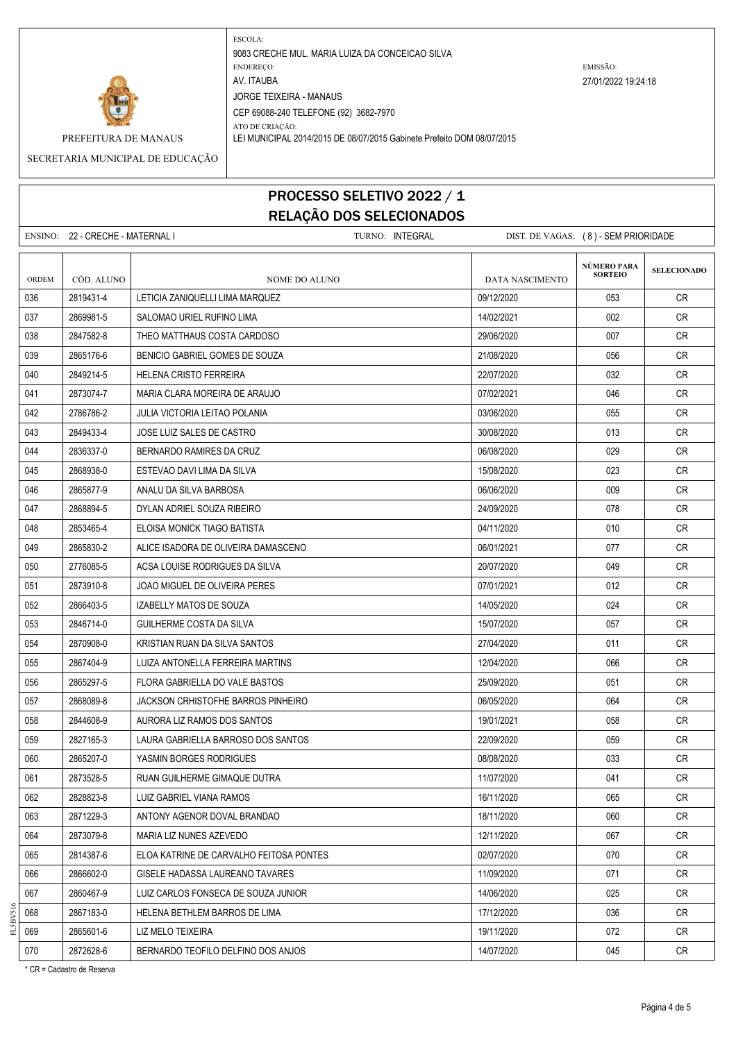

ATO DE CRIAÇÃO: PREFEITURA DE MANAUS LEI MUNICIPAL 2014/2015 DE 08/07/2015 Gabinete Prefeito DOM 08/07/2015

SECRETARIA MUNICIPAL DE EDUCAÇÃO

# PROCESSO SELETIVO 2022 / 1 RELAÇÃO DOS SELECIONADOS

|       | ENSINO: 22 - CRECHE - MATERNAL I |                                         | TURNO: INTEGRAL | DIST. DE VAGAS: (8) - SEM PRIORIDADE |                               |                    |
|-------|----------------------------------|-----------------------------------------|-----------------|--------------------------------------|-------------------------------|--------------------|
| ORDEM | CÓD. ALUNO                       | NOME DO ALUNO                           |                 | <b>DATA NASCIMENTO</b>               | NÚMERO PARA<br><b>SORTEIO</b> | <b>SELECIONADO</b> |
| 036   | 2819431-4                        | LETICIA ZANIQUELLI LIMA MARQUEZ         |                 | 09/12/2020                           | 053                           | CR                 |
| 037   | 2869981-5                        | SALOMAO URIEL RUFINO LIMA               |                 | 14/02/2021                           | 002                           | <b>CR</b>          |
| 038   | 2847582-8                        | THEO MATTHAUS COSTA CARDOSO             |                 | 29/06/2020                           | 007                           | CR                 |
| 039   | 2865176-6                        | BENICIO GABRIEL GOMES DE SOUZA          |                 | 21/08/2020                           | 056                           | CR                 |
| 040   | 2849214-5                        | HELENA CRISTO FERREIRA                  |                 | 22/07/2020                           | 032                           | CR                 |
| 041   | 2873074-7                        | MARIA CLARA MOREIRA DE ARAUJO           |                 | 07/02/2021                           | 046                           | CR.                |
| 042   | 2786786-2                        | <b>JULIA VICTORIA LEITAO POLANIA</b>    |                 | 03/06/2020                           | 055                           | <b>CR</b>          |
| 043   | 2849433-4                        | JOSE LUIZ SALES DE CASTRO               |                 | 30/08/2020                           | 013                           | CR                 |
| 044   | 2836337-0                        | BERNARDO RAMIRES DA CRUZ                |                 | 06/08/2020                           | 029                           | CR                 |
| 045   | 2868938-0                        | ESTEVAO DAVI LIMA DA SILVA              |                 | 15/08/2020                           | 023                           | <b>CR</b>          |
| 046   | 2865877-9                        | ANALU DA SILVA BARBOSA                  |                 | 06/06/2020                           | 009                           | CR                 |
| 047   | 2868894-5                        | DYLAN ADRIEL SOUZA RIBEIRO              |                 | 24/09/2020                           | 078                           | CR                 |
| 048   | 2853465-4                        | ELOISA MONICK TIAGO BATISTA             |                 | 04/11/2020                           | 010                           | <b>CR</b>          |
| 049   | 2865830-2                        | ALICE ISADORA DE OLIVEIRA DAMASCENO     |                 | 06/01/2021                           | 077                           | CR                 |
| 050   | 2776085-5                        | ACSA LOUISE RODRIGUES DA SILVA          |                 | 20/07/2020                           | 049                           | CR                 |
| 051   | 2873910-8                        | JOAO MIGUEL DE OLIVEIRA PERES           |                 | 07/01/2021                           | 012                           | <b>CR</b>          |
| 052   | 2866403-5                        | IZABELLY MATOS DE SOUZA                 |                 | 14/05/2020                           | 024                           | CR.                |
| 053   | 2846714-0                        | GUILHERME COSTA DA SILVA                |                 | 15/07/2020                           | 057                           | CR                 |
| 054   | 2870908-0                        | KRISTIAN RUAN DA SILVA SANTOS           |                 | 27/04/2020                           | 011                           | <b>CR</b>          |
| 055   | 2867404-9                        | LUIZA ANTONELLA FERREIRA MARTINS        |                 | 12/04/2020                           | 066                           | <b>CR</b>          |
| 056   | 2865297-5                        | FLORA GABRIELLA DO VALE BASTOS          |                 | 25/09/2020                           | 051                           | <b>CR</b>          |
| 057   | 2868089-8                        | JACKSON CRHISTOFHE BARROS PINHEIRO      |                 | 06/05/2020                           | 064                           | CR                 |
| 058   | 2844608-9                        | AURORA LIZ RAMOS DOS SANTOS             |                 | 19/01/2021                           | 058                           | <b>CR</b>          |
| 059   | 2827165-3                        | LAURA GABRIELLA BARROSO DOS SANTOS      |                 | 22/09/2020                           | 059                           | <b>CR</b>          |
| 060   | 2865207-0                        | YASMIN BORGES RODRIGUES                 |                 | 08/08/2020                           | 033                           | CR                 |
| 061   | 2873528-5                        | RUAN GUILHERME GIMAQUE DUTRA            |                 | 11/07/2020                           | 041                           | <b>CR</b>          |
| 062   | 2828823-8                        | LUIZ GABRIEL VIANA RAMOS                |                 | 16/11/2020                           | 065                           | <b>CR</b>          |
| 063   | 2871229-3                        | ANTONY AGENOR DOVAL BRANDAO             |                 | 18/11/2020                           | 060                           | CR                 |
| 064   | 2873079-8                        | MARIA LIZ NUNES AZEVEDO                 |                 | 12/11/2020                           | 067                           | <b>CR</b>          |
| 065   | 2814387-6                        | ELOA KATRINE DE CARVALHO FEITOSA PONTES |                 | 02/07/2020                           | 070                           | CR                 |
| 066   | 2866602-0                        | GISELE HADASSA LAUREANO TAVARES         |                 | 11/09/2020                           | 071                           | CR                 |
| 067   | 2860467-9                        | LUIZ CARLOS FONSECA DE SOUZA JUNIOR     |                 | 14/06/2020                           | 025                           | CR                 |
| 068   | 2867183-0                        | HELENA BETHLEM BARROS DE LIMA           |                 | 17/12/2020                           | 036                           | CR                 |
| 069   | 2865601-6                        | LIZ MELO TEIXEIRA                       |                 | 19/11/2020                           | 072                           | CR                 |
| 070   | 2872628-6                        | BERNARDO TEOFILO DELFINO DOS ANJOS      |                 | 14/07/2020                           | 045                           | CR                 |

\* CR = Cadastro de Reserva